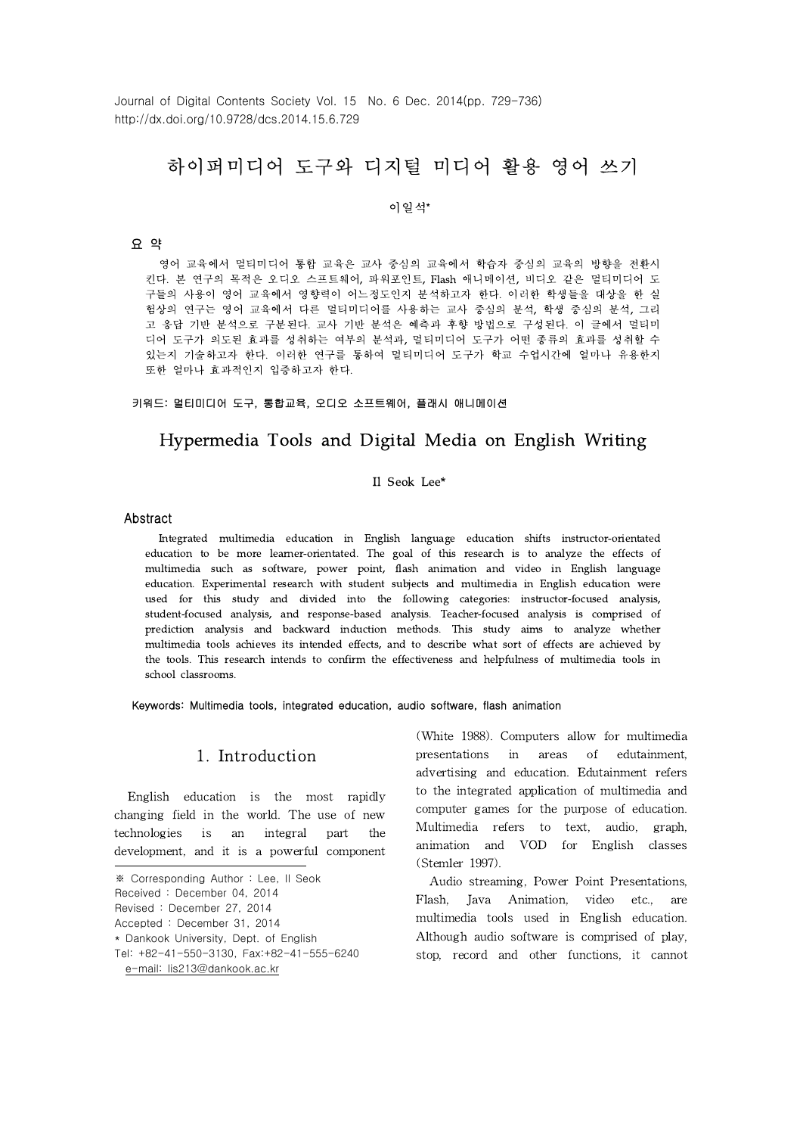Journal of Digital Contents Society Vol. 15 No. 6 Dec. 2014(pp. 729-736) http://dx.doi.org/10.9728/dcs.2014.15.6.729

# 하이퍼미디어 도구와 디지털 미디어 활용 영어 쓰기

#### 이일석\*

### 요 약

영어 교육에서 멀티미디어 통합 교육은 교사 중심의 교육에서 학습자 중심의 교육의 방향을 전환시 킨다. 본 연구의 목적은 오디오 스프트웨어, 파워포인트, Flash 애니메이션, 비디오 같은 멀티미디어 도 구들의 사용이 영어 교육에서 영향력이 어느정도인지 분석하고자 한다. 이러한 학생들을 대상을 한 실 험상의 연구는 영어 교육에서 다른 멀티미디어를 사용하는 교사 중심의 분석, 학생 중심의 분석, 그리 고 응답 기반 분석으로 구분된다. 교사 기반 분석은 예측과 후향 방법으로 구성된다. 이 글에서 멀티미 디어 도구가 의도된 효과를 성취하는 여부의 분석과, 멀티미디어 도구가 어떤 종류의 효과를 성취할 수 있는지 기술하고자 한다. 이러한 연구를 통하여 멀티미디어 도구가 학교 수업시간에 얼마나 유용한지 또한 얼마나 효과적인지 입증하고자 한다.

#### 키워드: 멀티미디어 도구, 통합교육, 오디오 소프트웨어, 플래시 애니메이션

## Hypermedia Tools and Digital Media on English Writing

#### Il Seok Lee\*

#### Abstract

Integrated multimedia education in English language education shifts instructor-orientated education to be more learner-orientated. The goal of this research is to analyze the effects of multimedia such as software, power point, flash animation and video in English language education. Experimental research with student subjects and multimedia in English education were used for this study and divided into the following categories: instructor-focused analysis, student-focused analysis, and response-based analysis. Teacher-focused analysis is comprised of prediction analysis and backward induction methods. This study aims to analyze whether multimedia tools achieves its intended effects, and to describe what sort of effects are achieved by the tools. This research intends to confirm the effectiveness and helpfulness of multimedia tools in school classrooms.

Keywords: Multimedia tools, integrated education, audio software, flash animation

### 1. Introduction

English education is the most rapidly changing field in the world. The use of new technologies is an integral part the development, and it is a powerful component (White 1988). Computers allow for multimedia presentations in areas of edutainment, advertising and education. Edutainment refers to the integrated application of multimedia and computer games for the purpose of education. Multimedia refers to text, audio, graph, animation and VOD for English classes (Stemler 1997).

Audio streaming, Power Point Presentations, Flash, Java Animation, video etc., are multimedia tools used in English education. Although audio software is comprised of play, stop, record and other functions, it cannot

<sup>※</sup> Corresponding Author : Lee, Il Seok

Received : December 04, 2014

Revised : December 27, 2014

Accepted : December 31, 2014

<sup>\*</sup> Dankook University, Dept. of English

Tel: +82-41-550-3130, Fax:+82-41-555-6240 e-mail: lis213@dankook.ac.kr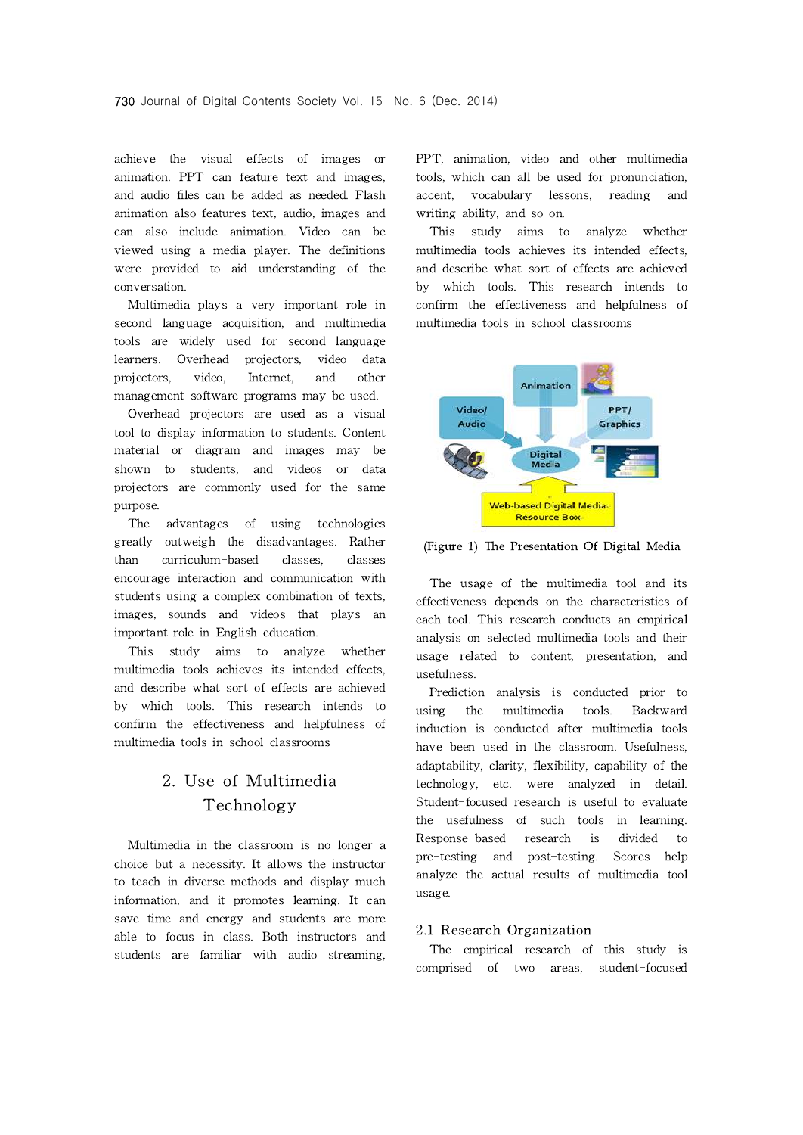achieve the visual effects of images or animation. PPT can feature text and images, and audio files can be added as needed. Flash animation also features text, audio, images and can also include animation. Video can be viewed using a media player. The definitions were provided to aid understanding of the conversation.

Multimedia plays a very important role in second language acquisition, and multimedia tools are widely used for second language learners. Overhead projectors, video data projectors, video, Internet, and other management software programs may be used.

Overhead projectors are used as a visual tool to display information to students. Content material or diagram and images may be shown to students, and videos or data projectors are commonly used for the same purpose.

The advantages of using technologies greatly outweigh the disadvantages. Rather than curriculum-based classes, classes encourage interaction and communication with students using a complex combination of texts, images, sounds and videos that plays an important role in English education.

This study aims to analyze whether multimedia tools achieves its intended effects, and describe what sort of effects are achieved by which tools. This research intends to confirm the effectiveness and helpfulness of multimedia tools in school classrooms

# 2. Use of Multimedia Technology

Multimedia in the classroom is no longer a choice but a necessity. It allows the instructor to teach in diverse methods and display much information, and it promotes learning. It can save time and energy and students are more able to focus in class. Both instructors and students are familiar with audio streaming, PPT, animation, video and other multimedia tools, which can all be used for pronunciation, vocabulary lessons, reading and writing ability, and so on.

study aims to analyze whether multimedia tools achieves its intended effects, and describe what sort of effects are achieved by which tools. This research intends to confirm the effectiveness and helpfulness of multimedia tools in school classrooms



(Figure 1) The Presentation Of Digital Media

The usage of the multimedia tool and its effectiveness depends on the characteristics of each tool. This research conducts an empirical analysis on selected multimedia tools and their usage related to content, presentation, and usefulness.

Prediction analysis is conducted prior to the multimedia tools. Backward induction is conducted after multimedia tools have been used in the classroom. Usefulness, adaptability, clarity, flexibility, capability of the technology, etc. were analyzed in detail. Student-focused research is useful to evaluate the usefulness of such tools in learning. Response-based research is divided to pre-testing and post-testing. Scores help analyze the actual results of multimedia tool usage.

#### 2.1 Research Organization

The empirical research of this study is comprised of two areas, student-focused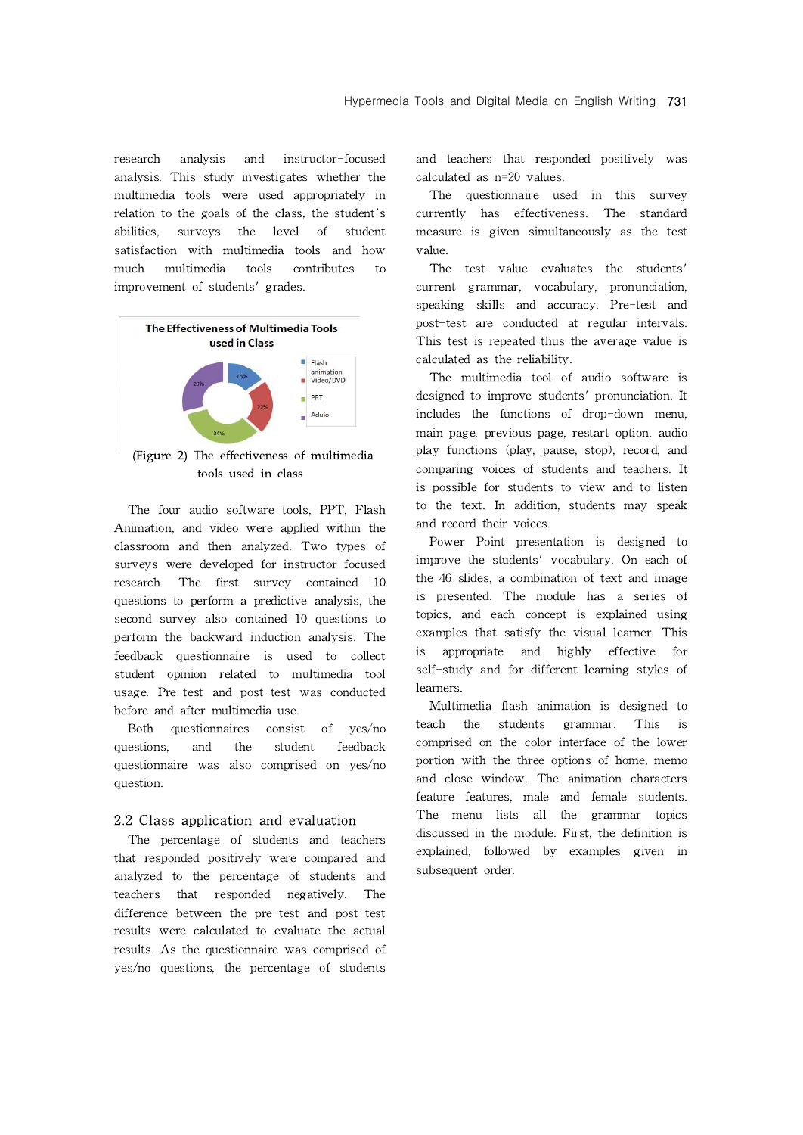research analysis and instructor-focused analysis. This study investigates whether the multimedia tools were used appropriately in relation to the goals of the class, the student's abilities, surveys the level of student satisfaction with multimedia tools and how much multimedia tools contributes to improvement of students' grades.



(Figure 2) The effectiveness of multimedia tools used in class

The four audio software tools, PPT, Flash Animation, and video were applied within the classroom and then analyzed. Two types of surveys were developed for instructor-focused research. The first survey contained 10 questions to perform a predictive analysis, the second survey also contained 10 questions to perform the backward induction analysis. The feedback questionnaire is used to collect student opinion related to multimedia tool usage. Pre-test and post-test was conducted before and after multimedia use.

Both questionnaires consist of yes/no questions, and the student feedback questionnaire was also comprised on yes/no question.

#### 2.2 Class application and evaluation

The percentage of students and teachers that responded positively were compared and analyzed to the percentage of students and teachers that responded negatively. The difference between the pre-test and post-test results were calculated to evaluate the actual results. As the questionnaire was comprised of yes/no questions, the percentage of students and teachers that responded positively was calculated as n=20 values.

The questionnaire used in this survey currently has effectiveness. The standard measure is given simultaneously as the test value.

The test value evaluates the students' current grammar, vocabulary, pronunciation, speaking skills and accuracy. Pre-test and post-test are conducted at regular intervals. This test is repeated thus the average value is calculated as the reliability.

The multimedia tool of audio software is designed to improve students' pronunciation. It includes the functions of drop-down menu, main page, previous page, restart option, audio play functions (play, pause, stop), record, and comparing voices of students and teachers. It is possible for students to view and to listen to the text. In addition, students may speak and record their voices.

Power Point presentation is designed to improve the students' vocabulary. On each of the 46 slides, a combination of text and image is presented. The module has a series of topics, and each concept is explained using examples that satisfy the visual learner. This appropriate and highly effective for self-study and for different learning styles of learners.

Multimedia flash animation is designed to teach the students grammar. This is comprised on the color interface of the lower portion with the three options of home, memo and close window. The animation characters feature features, male and female students. The menu lists all the grammar topics discussed in the module. First, the definition is explained, followed by examples given in subsequent order.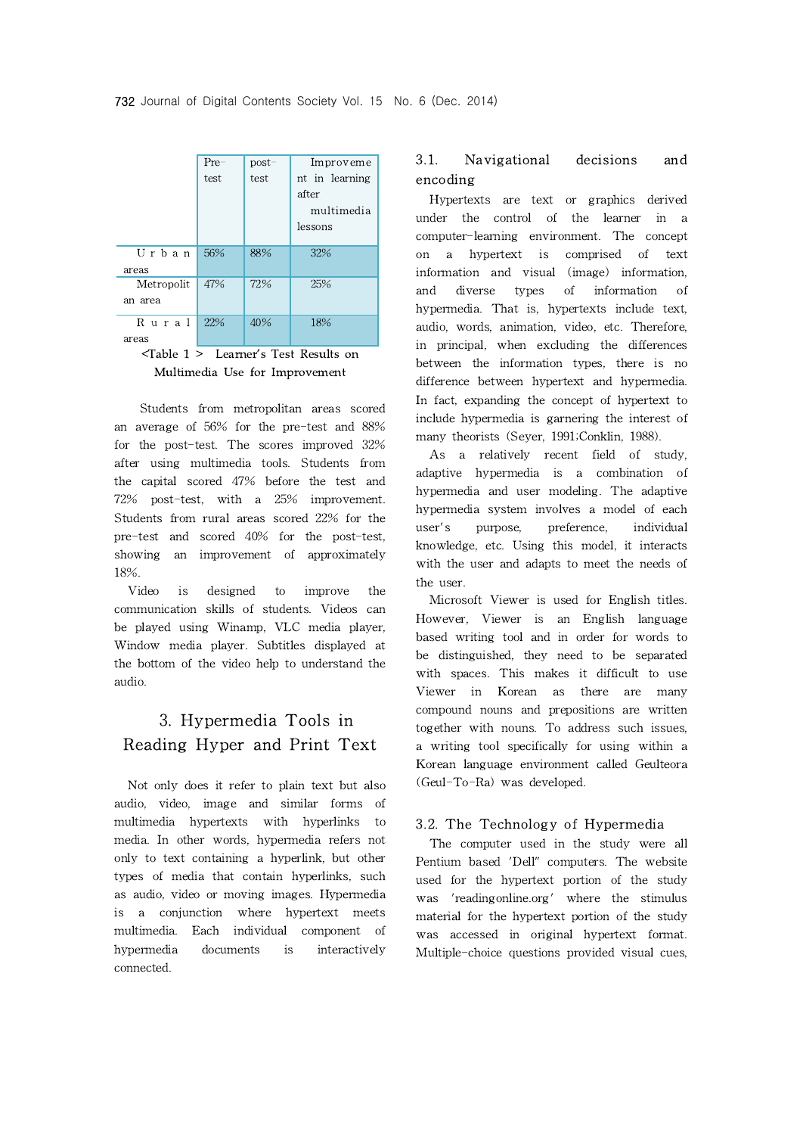|                                             | Pre- | $post-$ | Improveme      |  |  |
|---------------------------------------------|------|---------|----------------|--|--|
|                                             | test | test    | nt in learning |  |  |
|                                             |      |         | after          |  |  |
|                                             |      |         | multimedia     |  |  |
|                                             |      |         | lessons        |  |  |
|                                             |      |         |                |  |  |
| Urban                                       | 56%  | 88%     | 32%            |  |  |
| areas                                       |      |         |                |  |  |
| Metropolit                                  | 47%  | 72%     | 25%            |  |  |
| an area                                     |      |         |                |  |  |
|                                             |      |         |                |  |  |
| Rural                                       | 22%  | 40%     | 18%            |  |  |
| areas                                       |      |         |                |  |  |
| $\sqrt{n+1}$ as $\sqrt{n}$ and $\sqrt{n+1}$ |      |         |                |  |  |

<Table 1 > Learner's Test Results on Multimedia Use for Improvement

Students from metropolitan areas scored an average of 56% for the pre-test and 88% for the post-test. The scores improved 32% after using multimedia tools. Students from the capital scored 47% before the test and 72% post-test, with a 25% improvement. Students from rural areas scored 22% for the user's pre-test and scored 40% for the post-test, showing an improvement of approximately 18%.

Video is designed to improve the communication skills of students. Videos can be played using Winamp, VLC media player, Window media player. Subtitles displayed at the bottom of the video help to understand the audio.

# 3. Hypermedia Tools in Reading Hyper and Print Text

Not only does it refer to plain text but also audio, video, image and similar forms of multimedia hypertexts with hyperlinks to media. In other words, hypermedia refers not only to text containing a hyperlink, but other types of media that contain hyperlinks, such as audio, video or moving images. Hypermedia is a conjunction where hypertext meets multimedia. Each individual component of hypermedia documents is interactively connected.

## 3.1. Navigational decisions and encoding

Hypertexts are text or graphics derived under the control of the learner in a computer-learning environment. The concept on a hypertext is comprised of text information and visual (image) information, and diverse types of information of hypermedia. That is, hypertexts include text, audio, words, animation, video, etc. Therefore, in principal, when excluding the differences between the information types, there is no difference between hypertext and hypermedia. In fact, expanding the concept of hypertext to include hypermedia is garnering the interest of many theorists (Seyer, 1991;Conklin, 1988).

As a relatively recent field of study, adaptive hypermedia is a combination of hypermedia and user modeling. The adaptive hypermedia system involves a model of each purpose, preference, individual knowledge, etc. Using this model, it interacts with the user and adapts to meet the needs of the user.

Microsoft Viewer is used for English titles. However, Viewer is an English language based writing tool and in order for words to be distinguished, they need to be separated with spaces. This makes it difficult to use Viewer in Korean as there are many compound nouns and prepositions are written together with nouns. To address such issues, a writing toolspecifically for using within a Korean language environment called Geulteora (Geul-To-Ra) was developed.

### 3.2. The Technology of Hypermedia

The computer used in the study were all Pentium based 'Dell" computers. The website used for the hypertext portion of the study was 'readingonline.org' where the stimulus material for the hypertext portion of the study was accessed in original hypertext format. Multiple-choice questions provided visual cues,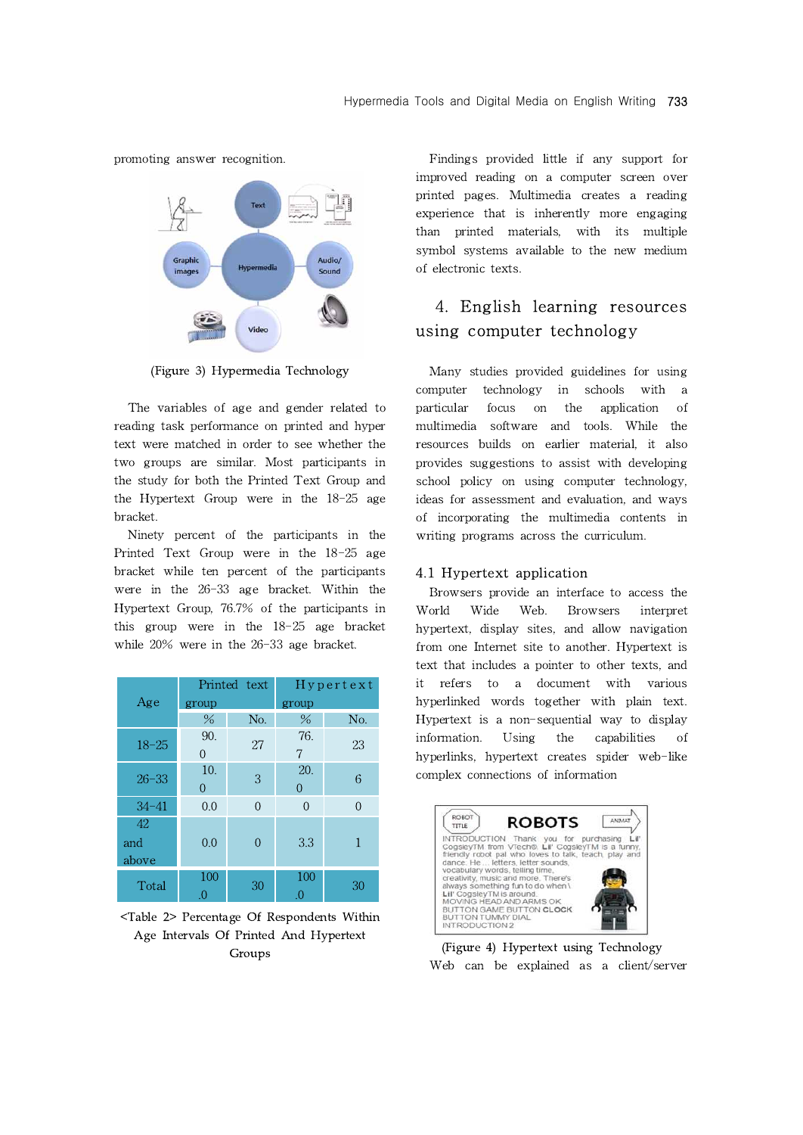promoting answer recognition.



(Figure 3) Hypermedia Technology

The variables of age and gender related to particular reading task performance on printed and hyper text were matched in order to see whether the two groups are similar. Most participants in the study for both the Printed Text Group and the Hypertext Group were in the 18-25 age bracket.

Ninety percent of the participants in the Printed Text Group were in the 18-25 age bracket while ten percent of the participants were in the 26-33 age bracket. Within the Hypertext Group, 76.7% of the participants in this group were in the 18-25 age bracket while 20% were in the 26-33 age bracket.

|           | Printed text |          | $H$ ypertext |          |
|-----------|--------------|----------|--------------|----------|
| Age       | group        |          | group        |          |
|           | %            | No.      | $\%$         | No.      |
| $18 - 25$ | 90.          | 27       | 76.          | 23       |
|           | 0            |          | 7            |          |
| $26 - 33$ | 10.          | 3        | 20.          | 6        |
|           | $\theta$     |          | $\theta$     |          |
| $34 - 41$ | 0.0          | $\Omega$ | $\Omega$     | $\Omega$ |
| 42        |              |          |              |          |
| and       | 0.0          | 0        | 3.3          | 1        |
| above     |              |          |              |          |
| Total     | 100          | 30       | 100          | 30       |
|           | $\Omega$ .   |          | .0           |          |

<Table 2> Percentage Of Respondents Within Age Intervals Of Printed And Hypertext Groups

Findings provided little if any support for improved reading on a computer screen over printed pages. Multimedia creates a reading experience that is inherently more engaging than printed materials, with its multiple symbol systems available to the new medium of electronic texts.

# 4. English learning resources using computer technology

Many studies provided guidelines for using computer technology in schools with a focus on the application of multimedia software and tools. While the resources builds on earlier material, it also provides suggestions to assist with developing school policy on using computer technology, ideas for assessment and evaluation, and ways of incorporating the multimedia contents in writing programs across the curriculum.

### 4.1 Hypertext application

Participants in World<br>25 age bracket hypertext<br>ge bracket. from one<br>text that<br>Hypertext it refers<br>oup hyperlinke Browsers provide an interface to access the Wide Web. Browsers interpret hypertext, display sites, and allow navigation from one Internet site to another. Hypertext is text that includes a pointer to other texts, and it refers to a document with various hyperlinked words together with plain text. Hypertext is a non-sequential way to display information. Using the capabilities of hyperlinks, hypertext creates spider web-like complex connections of information



(Figure 4) Hypertext using Technology Web can be explained as a client/server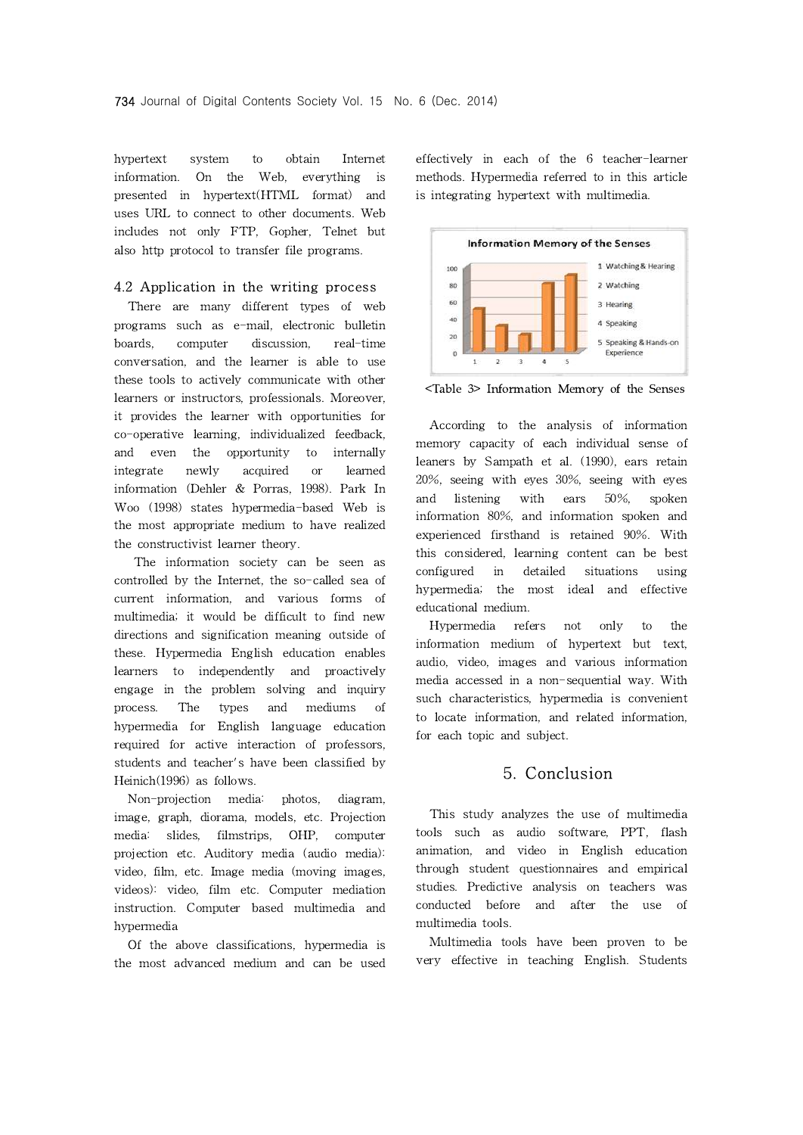hypertext system to obtain Internet information. On the Web, everything is presented in hypertext(HTML format) and uses URL to connect to other documents. Web includes not only FTP, Gopher, Telnet but also http protocol to transfer file programs.

### 4.2 Application in the writing process

There are many different types of web programs such as e-mail, electronic bulletin boards, computer discussion, real-time conversation, and the learner is able to use these tools to actively communicate with other learners or instructors, professionals. Moreover, it provides the learner with opportunities for co-operative learning, individualized feedback, and even the opportunity to internally integrate newly acquired or learned information (Dehler & Porras, 1998). Park In Woo (1998) states hypermedia-based Web is the most appropriate medium to have realized the constructivist learner theory.

The information society can be seen as controlled by the Internet, the so-called sea of current information, and various forms of multimedia; it would be difficult to find new directions and signification meaning outside of these. Hypermedia English education enables learners to independently and proactively engage in the problem solving and inquiry process. The types and mediums of hypermedia for English language education required for active interaction of professors, students and teacher's have been classified by Heinich(1996) as follows.

Non-projection media: photos, diagram, image, graph, diorama, models, etc. Projection media: slides, filmstrips, OHP, computer projection etc.Auditory media (audio media): video, film, etc. Image media (moving images, videos): video, film etc. Computer mediation instruction. Computer based multimedia and hypermedia

Of the above classifications, hypermedia is the most advanced medium and can be used effectively in each of the 6 teacher-learner methods. Hypermedia referred to in this article is integrating hypertext with multimedia.



<Table 3> Information Memory of the Senses

According to the analysis of information memory capacity of each individual sense of leaners by Sampath et al. (1990), ears retain 20%, seeing with eyes 30%, seeing with eyes and listening with ears 50%, spoken information 80%, and information spoken and experienced firsthand is retained 90%. With this considered, learning content can be best configured in detailed situations using hypermedia; the most ideal and effective educational medium.

Hypermedia refers not only to the information medium of hypertext but text, audio, video, images and various information media accessed in a non-sequential way. With such characteristics, hypermedia is convenient to locate information, and related information, for each topic and subject.

## 5. Conclusion

This study analyzes the use of multimedia tools such as audio software, PPT, flash animation, and video in English education through student questionnaires and empirical studies. Predictive analysis on teachers was conducted before and after the use of multimedia tools.

Multimedia tools have been proven to be very effective in teaching English. Students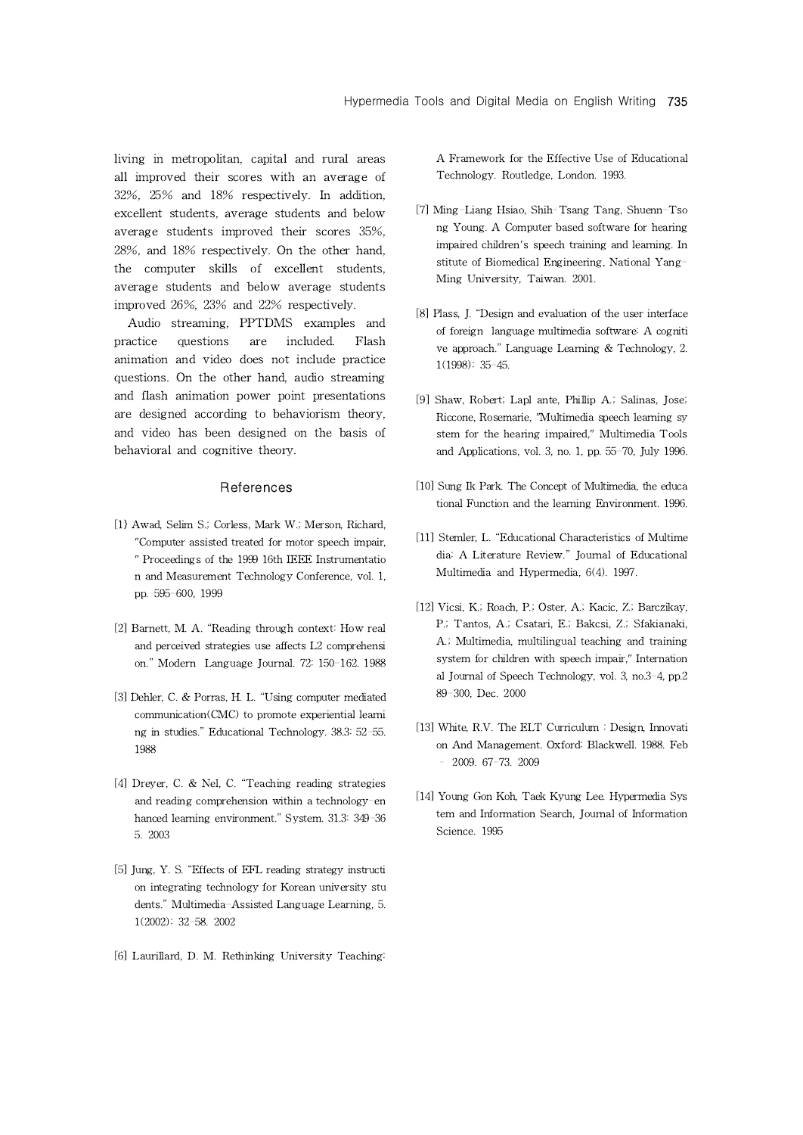living in metropolitan, capital and rural areas all improved their scores with an average of 32%, 25% and 18% respectively. In addition, excellent students, average students and below average students improved their scores 35%, 28%, and 18% respectively. On the other hand, the computer skills of excellent students, average students and below average students improved 26%, 23% and 22% respectively.

Audio streaming, PPTDMS examples and practice questions are included. Flash animation and video does not include practice questions. On the other hand, audio streaming and flash animation power point presentations are designed according to behaviorism theory, and video has been designed on the basis of behavioral and cognitive theory.

#### **References**

- [1] Awad, Selim S.; Corless, Mark W.; Merson, Richard, "Computer assisted treated for motor speech impair, " Proceedings of the 1999 16th IEEE Instrumentatio n and Measurement Technology Conference, vol. 1, pp. 595-600, 1999
- [2] Barnett, M. A. "Reading through context: How real and perceived strategies use affects L2 comprehensi on." Modern Language Journal. 72: 150-162. 1988
- [3] Dehler, C. & Porras, H. L. "Using computer mediated communication(CMC) to promote experiential learni ng in studies." Educational Technology. 38.3: 52-55. 1988
- [4] Dreyer, C. & Nel, C. "Teaching reading strategies and reading comprehension within a technology-en hanced learning environment." System. 31.3: 349-36 5. 2003
- [5] Jung, Y. S. "Effects of EFL reading strategy instructi on integrating technology for Korean university stu dents." Multimedia-Assisted Language Learning, 5. 1(2002): 32-58. 2002
- [6] Laurillard, D. M. Rethinking University Teaching:

A Framework for the Effective Use of Educational Technology. Routledge, London. 1993.

- [7] Ming-Liang Hsiao, Shih-Tsang Tang, Shuenn-Tso ng Young. A Computer based software for hearing impaired children's speech training and learning. In stitute of Biomedical Engineering, National Yang-Ming University, Taiwan. 2001.
- [8] Plass, J. "Design and evaluation of the user interface of foreign language multimedia software: A cogniti ve approach." Language Learning & Technology, 2. 1(1998): 35-45.
- [9] Shaw, Robert; Lapl ante, Phillip A.; Salinas, Jose; Riccone, Rosemarie, "Multimedia speech learning sy stem for the hearing impaired," Multimedia Tools and Applications, vol. 3, no. 1, pp. 55-70, July 1996.
- [10] Sung Ik Park. The Concept of Multimedia, the educa tional Function and the learning Environment. 1996.
- [11] Stemler, L. "Educational Characteristics of Multime dia: A Literature Review." Journal of Educational Multimedia and Hypermedia, 6(4). 1997.
- [12] Vicsi, K.; Roach, P.; Oster, A.; Kacic, Z.; Barczikay, P.; Tantos, A.; Csatari, E.; Bakcsi, Z.; Sfakianaki, A.; Multimedia, multilingual teaching and training system for children with speech impair," Internation al Journal of Speech Technology, vol. 3, no.3-4, pp.2 89-300, Dec. 2000
- [13] White, R.V. The ELT Curriculum : Design, Innovati on And Management. Oxford: Blackwell. 1988. Feb – 2009. 67-73. 2009
- [14] Young Gon Koh, Taek Kyung Lee. Hypermedia Sys tem and Information Search, Journal of Information Science. 1995